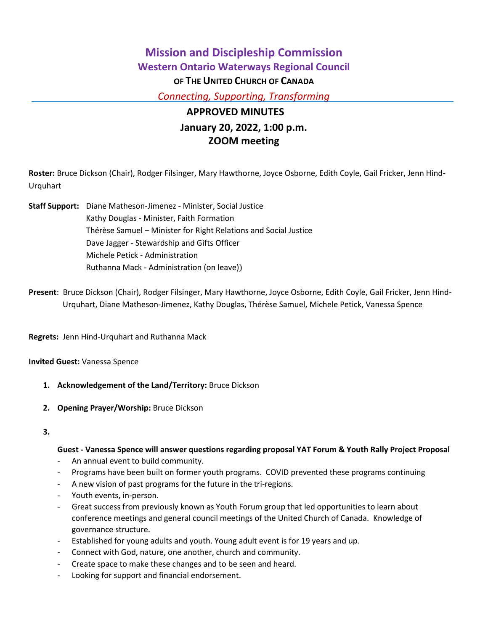# **Mission and Discipleship Commission Western Ontario Waterways Regional Council OF THE UNITED CHURCH OF CANADA** *Connecting, Supporting, Transforming*

# **APPROVED MINUTES January 20, 2022, 1:00 p.m. ZOOM meeting**

**Roster:** Bruce Dickson (Chair), Rodger Filsinger, Mary Hawthorne, Joyce Osborne, Edith Coyle, Gail Fricker, Jenn Hind-Urquhart

- **Staff Support:** Diane Matheson-Jimenez Minister, Social Justice Kathy Douglas - Minister, Faith Formation Thérèse Samuel – Minister for Right Relations and Social Justice Dave Jagger - Stewardship and Gifts Officer Michele Petick - Administration Ruthanna Mack - Administration (on leave))
- **Present**: Bruce Dickson (Chair), Rodger Filsinger, Mary Hawthorne, Joyce Osborne, Edith Coyle, Gail Fricker, Jenn Hind-Urquhart, Diane Matheson-Jimenez, Kathy Douglas, Thérèse Samuel, Michele Petick, Vanessa Spence

**Regrets:** Jenn Hind-Urquhart and Ruthanna Mack

**Invited Guest:** Vanessa Spence

- **1. Acknowledgement of the Land/Territory:** Bruce Dickson
- **2. Opening Prayer/Worship:** Bruce Dickson

**3.**

### **Guest - Vanessa Spence will answer questions regarding proposal YAT Forum & Youth Rally Project Proposal**

- An annual event to build community.
- Programs have been built on former youth programs. COVID prevented these programs continuing
- A new vision of past programs for the future in the tri-regions.
- Youth events, in-person.
- Great success from previously known as Youth Forum group that led opportunities to learn about conference meetings and general council meetings of the United Church of Canada. Knowledge of governance structure.
- Established for young adults and youth. Young adult event is for 19 years and up.
- Connect with God, nature, one another, church and community.
- Create space to make these changes and to be seen and heard.
- Looking for support and financial endorsement.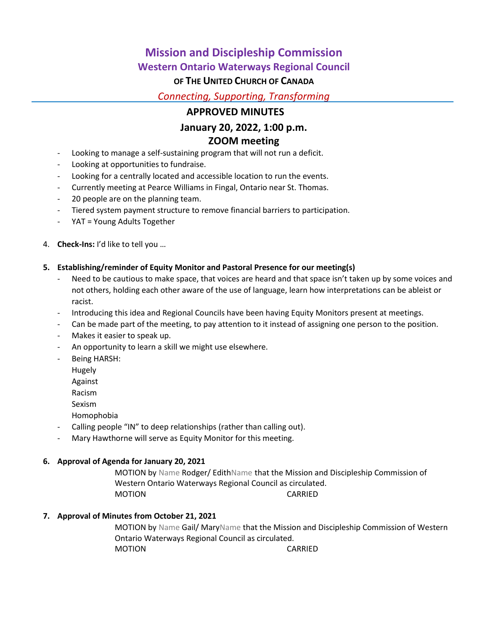## **Mission and Discipleship Commission**

## **Western Ontario Waterways Regional Council**

## **OF THE UNITED CHURCH OF CANADA**

*Connecting, Supporting, Transforming*

## **APPROVED MINUTES**

## **January 20, 2022, 1:00 p.m.**

## **ZOOM meeting**

- Looking to manage a self-sustaining program that will not run a deficit.
- Looking at opportunities to fundraise.
- Looking for a centrally located and accessible location to run the events.
- Currently meeting at Pearce Williams in Fingal, Ontario near St. Thomas.
- 20 people are on the planning team.
- Tiered system payment structure to remove financial barriers to participation.
- YAT = Young Adults Together
- 4. **Check-Ins:** I'd like to tell you …

### **5. Establishing/reminder of Equity Monitor and Pastoral Presence for our meeting(s)**

- Need to be cautious to make space, that voices are heard and that space isn't taken up by some voices and not others, holding each other aware of the use of language, learn how interpretations can be ableist or racist.
- Introducing this idea and Regional Councils have been having Equity Monitors present at meetings.
- Can be made part of the meeting, to pay attention to it instead of assigning one person to the position.
- Makes it easier to speak up.
- An opportunity to learn a skill we might use elsewhere.
- Being HARSH:
	- Hugely
	- Against
	- Racism
	- Sexism
	- Homophobia
- Calling people "IN" to deep relationships (rather than calling out).
- Mary Hawthorne will serve as Equity Monitor for this meeting.

### **6. Approval of Agenda for January 20, 2021**

MOTION by Name Rodger/ EdithName that the Mission and Discipleship Commission of Western Ontario Waterways Regional Council as circulated. MOTION CARRIED

### **7. Approval of Minutes from October 21, 2021**

MOTION by Name Gail/ MaryName that the Mission and Discipleship Commission of Western Ontario Waterways Regional Council as circulated. MOTION CARRIED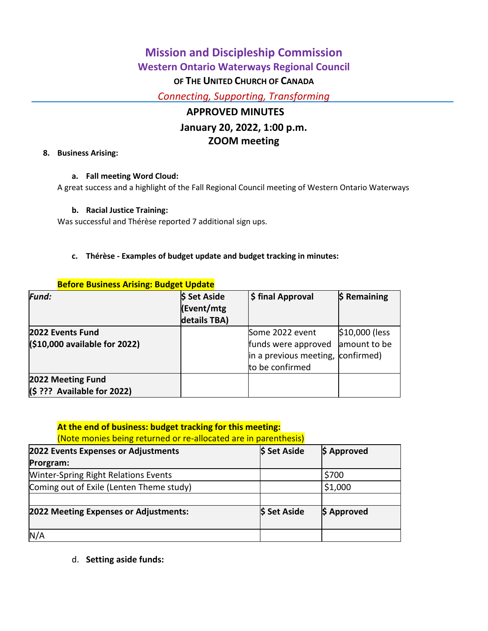# **Mission and Discipleship Commission Western Ontario Waterways Regional Council OF THE UNITED CHURCH OF CANADA** *Connecting, Supporting, Transforming*

# **APPROVED MINUTES January 20, 2022, 1:00 p.m. ZOOM meeting**

### **8. Business Arising:**

### **a. Fall meeting Word Cloud:**

A great success and a highlight of the Fall Regional Council meeting of Western Ontario Waterways

### **b. Racial Justice Training:**

Was successful and Thérèse reported 7 additional sign ups.

### **c. Thérèse - Examples of budget update and budget tracking in minutes:**

| <u>Deluie Dusiliess Arisiiig. Duuget Opuate</u> |              |                                   |                |
|-------------------------------------------------|--------------|-----------------------------------|----------------|
| Fund:                                           | \$ Set Aside | \$ final Approval                 | $$$ Remaining  |
|                                                 | (Event/mtg   |                                   |                |
|                                                 | details TBA) |                                   |                |
| 2022 Events Fund                                |              | Some 2022 event                   | \$10,000 (less |
| (\$10,000 available for 2022)                   |              | funds were approved               | amount to be   |
|                                                 |              | in a previous meeting, confirmed) |                |
|                                                 |              | to be confirmed                   |                |
| 2022 Meeting Fund                               |              |                                   |                |
| $(S ? ?$ ? Available for 2022)                  |              |                                   |                |

### **Before Business Arising: Budget Update**

### **At the end of business: budget tracking for this meeting:**

### (Note monies being returned or re-allocated are in parenthesis)

| 2022 Events Expenses or Adjustments         | \$ Set Aside | \$ Approved |
|---------------------------------------------|--------------|-------------|
| Prorgram:                                   |              |             |
| <b>Winter-Spring Right Relations Events</b> |              | \$700       |
| Coming out of Exile (Lenten Theme study)    |              | \$1,000     |
| 2022 Meeting Expenses or Adjustments:       | \$ Set Aside | \$ Approved |
| N/A                                         |              |             |

d. **Setting aside funds:**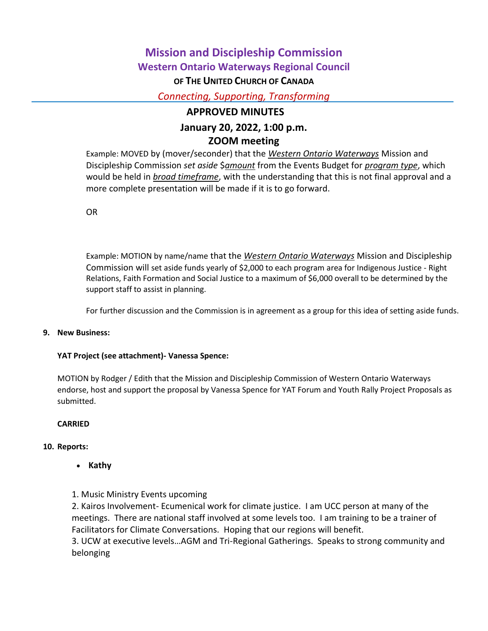# **Mission and Discipleship Commission Western Ontario Waterways Regional Council OF THE UNITED CHURCH OF CANADA**

*Connecting, Supporting, Transforming*

## **APPROVED MINUTES**

# **January 20, 2022, 1:00 p.m.**

## **ZOOM meeting**

Example: MOVED by (mover/seconder) that the *Western Ontario Waterways* Mission and Discipleship Commission *set aside* \$*amount* from the Events Budget for *program type*, which would be held in *broad timeframe*, with the understanding that this is not final approval and a more complete presentation will be made if it is to go forward.

OR

Example: MOTION by name/name that the *Western Ontario Waterways* Mission and Discipleship Commission will set aside funds yearly of \$2,000 to each program area for Indigenous Justice - Right Relations, Faith Formation and Social Justice to a maximum of \$6,000 overall to be determined by the support staff to assist in planning.

For further discussion and the Commission is in agreement as a group for this idea of setting aside funds.

### **9. New Business:**

### **YAT Project (see attachment)- Vanessa Spence:**

MOTION by Rodger / Edith that the Mission and Discipleship Commission of Western Ontario Waterways endorse, host and support the proposal by Vanessa Spence for YAT Forum and Youth Rally Project Proposals as submitted.

### **CARRIED**

### **10. Reports:**

• Kathy

### 1. Music Ministry Events upcoming

2. Kairos Involvement- Ecumenical work for climate justice. I am UCC person at many of the meetings. There are national staff involved at some levels too. I am training to be a trainer of Facilitators for Climate Conversations. Hoping that our regions will benefit.

3. UCW at executive levels…AGM and Tri-Regional Gatherings. Speaks to strong community and belonging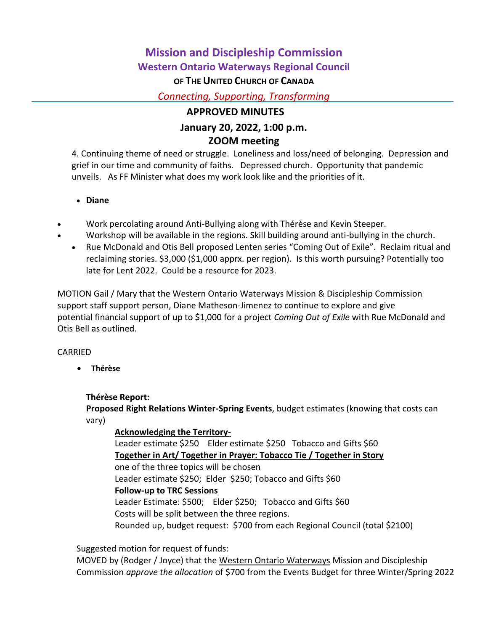# **Mission and Discipleship Commission Western Ontario Waterways Regional Council OF THE UNITED CHURCH OF CANADA**

*Connecting, Supporting, Transforming*

## **APPROVED MINUTES**

## **January 20, 2022, 1:00 p.m. ZOOM meeting**

4. Continuing theme of need or struggle. Loneliness and loss/need of belonging. Depression and grief in our time and community of faiths. Depressed church. Opportunity that pandemic unveils. As FF Minister what does my work look like and the priorities of it.

**Diane**

- Work percolating around Anti-Bullying along with Thérèse and Kevin Steeper.
- Workshop will be available in the regions. Skill building around anti-bullying in the church.
	- Rue McDonald and Otis Bell proposed Lenten series "Coming Out of Exile". Reclaim ritual and reclaiming stories. \$3,000 (\$1,000 apprx. per region). Is this worth pursuing? Potentially too late for Lent 2022. Could be a resource for 2023.

MOTION Gail / Mary that the Western Ontario Waterways Mission & Discipleship Commission support staff support person, Diane Matheson-Jimenez to continue to explore and give potential financial support of up to \$1,000 for a project *Coming Out of Exile* with Rue McDonald and Otis Bell as outlined.

### CARRIED

**Thérèse**

### **Thérèse Report:**

**Proposed Right Relations Winter-Spring Events**, budget estimates (knowing that costs can vary)

## **Acknowledging the Territory-**

Leader estimate \$250 Elder estimate \$250 Tobacco and Gifts \$60 **Together in Art/ Together in Prayer: Tobacco Tie / Together in Story** one of the three topics will be chosen Leader estimate \$250; Elder \$250; Tobacco and Gifts \$60 **Follow-up to TRC Sessions** Leader Estimate: \$500; Elder \$250; Tobacco and Gifts \$60 Costs will be split between the three regions. Rounded up, budget request: \$700 from each Regional Council (total \$2100)

Suggested motion for request of funds:

MOVED by (Rodger / Joyce) that the Western Ontario Waterways Mission and Discipleship Commission *approve the allocation* of \$700 from the Events Budget for three Winter/Spring 2022